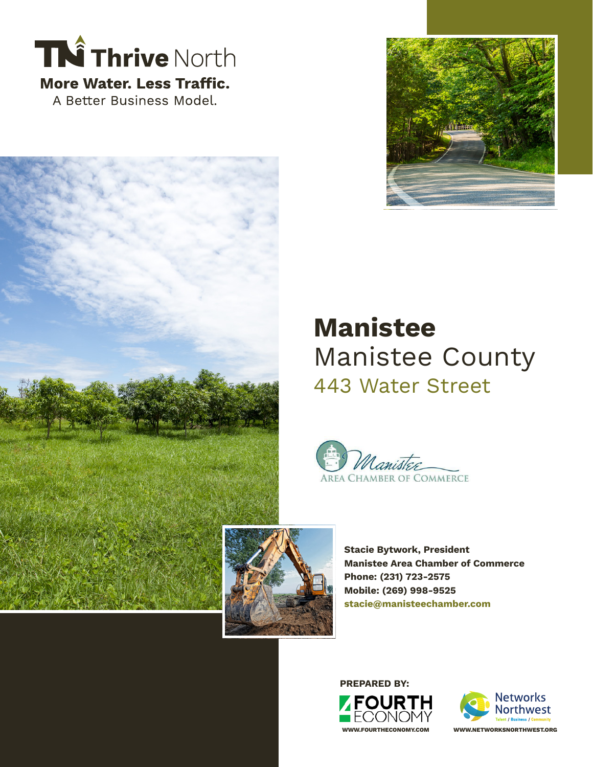



## **Manistee** Manistee County 443 Water Street





**Stacie Bytwork, President Manistee Area Chamber of Commerce Phone: (231) 723-2575 Mobile: (269) 998-9525 stacie@manisteechamber.com**

**PREPARED BY: ZFOURTH** CONC:

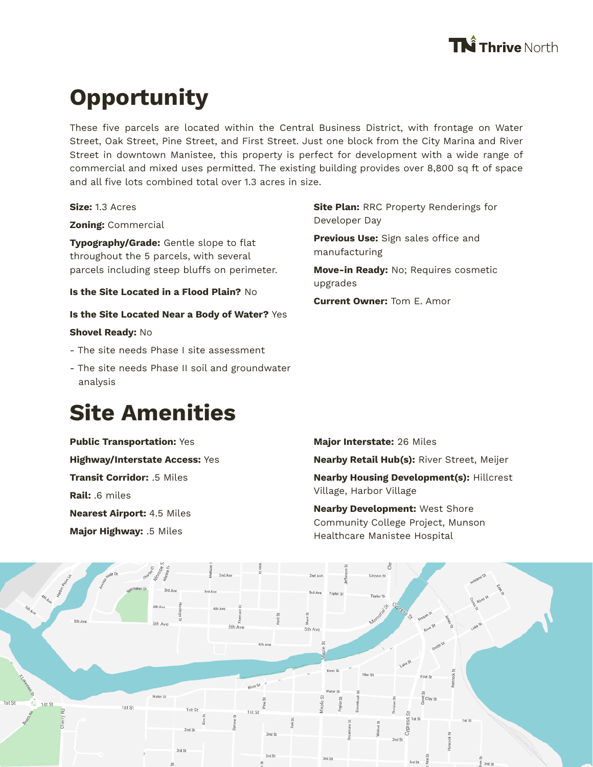

# **Opportunity**

These five parcels are located within the Central Business District, with frontage on Water Street, Oak Street, Pine Street, and First Street. Just one block from the City Marina and River Street in downtown Manistee, this property is perfect for development with a wide range of commercial and mixed uses permitted. The existing building provides over 8,800 sq ft of space and all five lots combined total over 1.3 acres in size.

**Size:** 1.3 Acres

**Zoning:** Commercial

**Typography/Grade:** Gentle slope to flat throughout the 5 parcels, with several parcels including steep bluffs on perimeter.

**Is the Site Located in a Flood Plain?** No

**Is the Site Located Near a Body of Water?** Yes

#### **Shovel Ready:** No

- The site needs Phase I site assessment
- The site needs Phase II soil and groundwater analysis

### **Site Amenities**

**Public Transportation:** Yes **Highway/Interstate Access:** Yes **Transit Corridor:** .5 Miles **Rail:** .6 miles **Nearest Airport:** 4.5 Miles **Major Highway:** .5 Miles

**Site Plan:** RRC Property Renderings for Developer Day

**Previous Use:** Sign sales office and manufacturing

**Move-in Ready:** No; Requires cosmetic upgrades

**Current Owner:** Tom E. Amor

**Major Interstate:** 26 Miles **Nearby Retail Hub(s):** River Street, Meijer **Nearby Housing Development(s):** Hillcrest Village, Harbor Village

**Nearby Development:** West Shore Community College Project, Munson Healthcare Manistee Hospital